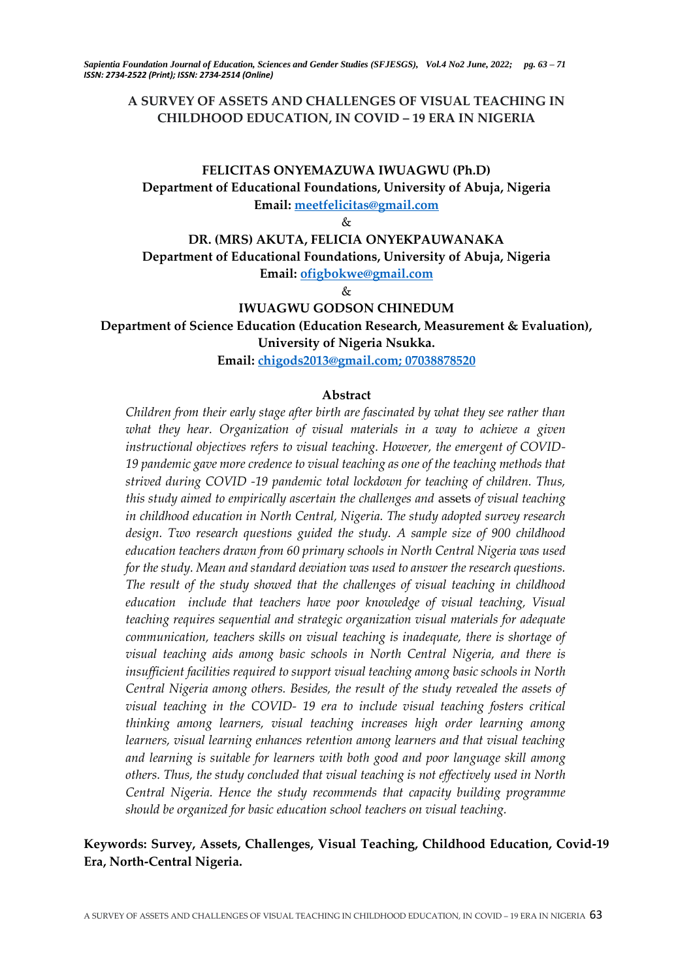## **A SURVEY OF ASSETS AND CHALLENGES OF VISUAL TEACHING IN CHILDHOOD EDUCATION, IN COVID – 19 ERA IN NIGERIA**

# **FELICITAS ONYEMAZUWA IWUAGWU (Ph.D) Department of Educational Foundations, University of Abuja, Nigeria Email: [meetfelicitas@gmail.com](mailto:meetfelicitas@gmail.com)**

 $\mathcal{R}_{\tau}$ 

# **DR. (MRS) AKUTA, FELICIA ONYEKPAUWANAKA Department of Educational Foundations, University of Abuja, Nigeria Email: [ofigbokwe@gmail.com](mailto:ofigbokwe@gmail.com)**

 $\&$ 

#### **IWUAGWU GODSON CHINEDUM**

**Department of Science Education (Education Research, Measurement & Evaluation),** 

**University of Nigeria Nsukka.** 

**Email: [chigods2013@gmail.com;](mailto:chigods2013@gmail.com) 07038878520**

#### **Abstract**

*Children from their early stage after birth are fascinated by what they see rather than what they hear. Organization of visual materials in a way to achieve a given instructional objectives refers to visual teaching. However, the emergent of COVID-19 pandemic gave more credence to visual teaching as one of the teaching methods that strived during COVID -19 pandemic total lockdown for teaching of children. Thus, this study aimed to empirically ascertain the challenges and* assets *of visual teaching in childhood education in North Central, Nigeria. The study adopted survey research design. Two research questions guided the study. A sample size of 900 childhood education teachers drawn from 60 primary schools in North Central Nigeria was used for the study. Mean and standard deviation was used to answer the research questions. The result of the study showed that the challenges of visual teaching in childhood education include that teachers have poor knowledge of visual teaching, Visual teaching requires sequential and strategic organization visual materials for adequate communication, teachers skills on visual teaching is inadequate, there is shortage of visual teaching aids among basic schools in North Central Nigeria, and there is insufficient facilities required to support visual teaching among basic schools in North Central Nigeria among others. Besides, the result of the study revealed the assets of visual teaching in the COVID- 19 era to include visual teaching fosters critical thinking among learners, visual teaching increases high order learning among learners, visual learning enhances retention among learners and that visual teaching and learning is suitable for learners with both good and poor language skill among others. Thus, the study concluded that visual teaching is not effectively used in North Central Nigeria. Hence the study recommends that capacity building programme should be organized for basic education school teachers on visual teaching.*

# **Keywords: Survey, Assets, Challenges, Visual Teaching, Childhood Education, Covid-19 Era, North-Central Nigeria.**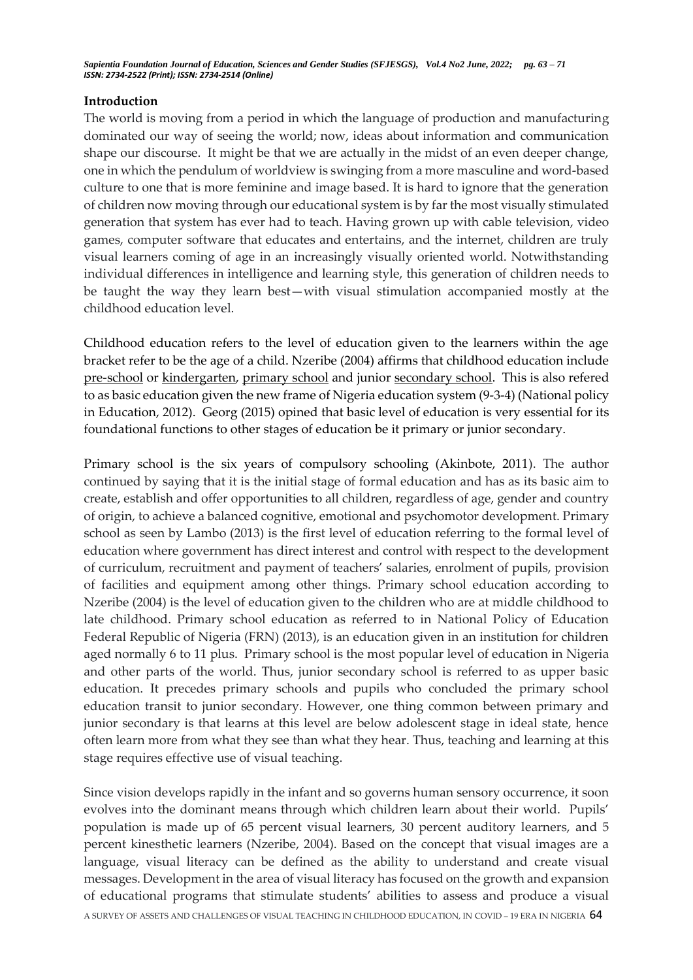### **Introduction**

The world is moving from a period in which the language of production and manufacturing dominated our way of seeing the world; now, ideas about information and communication shape our discourse. It might be that we are actually in the midst of an even deeper change, one in which the pendulum of worldview is swinging from a more masculine and word-based culture to one that is more feminine and image based. It is hard to ignore that the generation of children now moving through our educational system is by far the most visually stimulated generation that system has ever had to teach. Having grown up with cable television, video games, computer software that educates and entertains, and the internet, children are truly visual learners coming of age in an increasingly visually oriented world. Notwithstanding individual differences in intelligence and learning style, this generation of children needs to be taught the way they learn best—with visual stimulation accompanied mostly at the childhood education level.

Childhood education refers to the level of education given to the learners within the age bracket refer to be the age of a child. Nzeribe (2004) affirms that childhood education include [pre-school](https://en.wikipedia.org/wiki/Preschool) or [kindergarten,](https://en.wikipedia.org/wiki/Kindergarten) [primary school](https://en.wikipedia.org/wiki/Primary_school) and junior [secondary school.](https://en.wikipedia.org/wiki/Secondary_school) This is also refered to as basic education given the new frame of Nigeria education system (9-3-4) (National policy in Education, 2012). Georg (2015) opined that basic level of education is very essential for its foundational functions to other stages of education be it primary or junior secondary.

Primary school is the six years of compulsory schooling (Akinbote, 2011). The author continued by saying that it is the initial stage of formal education and has as its basic aim to create, establish and offer opportunities to all children, regardless of age, gender and country of origin, to achieve a balanced cognitive, emotional and psychomotor development. Primary school as seen by Lambo (2013) is the first level of education referring to the formal level of education where government has direct interest and control with respect to the development of curriculum, recruitment and payment of teachers' salaries, enrolment of pupils, provision of facilities and equipment among other things. Primary school education according to Nzeribe (2004) is the level of education given to the children who are at middle childhood to late childhood. Primary school education as referred to in National Policy of Education Federal Republic of Nigeria (FRN) (2013), is an education given in an institution for children aged normally 6 to 11 plus. Primary school is the most popular level of education in Nigeria and other parts of the world. Thus, junior secondary school is referred to as upper basic education. It precedes primary schools and pupils who concluded the primary school education transit to junior secondary. However, one thing common between primary and junior secondary is that learns at this level are below adolescent stage in ideal state, hence often learn more from what they see than what they hear. Thus, teaching and learning at this stage requires effective use of visual teaching.

A SURVEY OF ASSETS AND CHALLENGES OF VISUAL TEACHING IN CHILDHOOD EDUCATION, IN COVID – 19 ERA IN NIGERIA 64 Since vision develops rapidly in the infant and so governs human sensory occurrence, it soon evolves into the dominant means through which children learn about their world. Pupils' population is made up of 65 percent visual learners, 30 percent auditory learners, and 5 percent kinesthetic learners (Nzeribe, 2004). Based on the concept that visual images are a language, visual literacy can be defined as the ability to understand and create visual messages. Development in the area of visual literacy has focused on the growth and expansion of educational programs that stimulate students' abilities to assess and produce a visual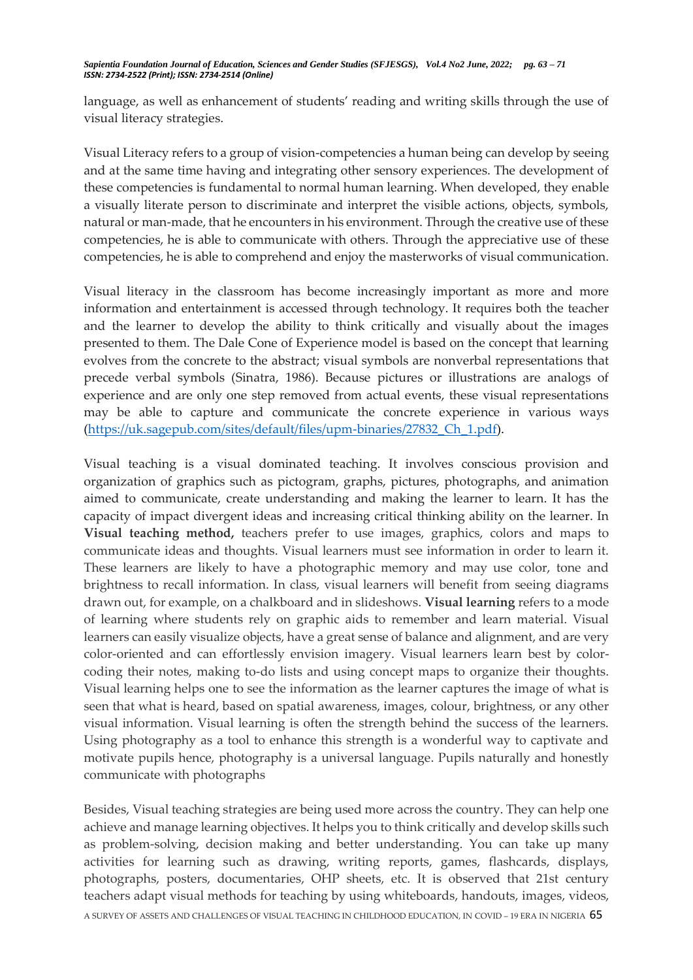language, as well as enhancement of students' reading and writing skills through the use of visual literacy strategies.

Visual Literacy refers to a group of vision-competencies a human being can develop by seeing and at the same time having and integrating other sensory experiences. The development of these competencies is fundamental to normal human learning. When developed, they enable a visually literate person to discriminate and interpret the visible actions, objects, symbols, natural or man-made, that he encounters in his environment. Through the creative use of these competencies, he is able to communicate with others. Through the appreciative use of these competencies, he is able to comprehend and enjoy the masterworks of visual communication.

Visual literacy in the classroom has become increasingly important as more and more information and entertainment is accessed through technology. It requires both the teacher and the learner to develop the ability to think critically and visually about the images presented to them. The Dale Cone of Experience model is based on the concept that learning evolves from the concrete to the abstract; visual symbols are nonverbal representations that precede verbal symbols (Sinatra, 1986). Because pictures or illustrations are analogs of experience and are only one step removed from actual events, these visual representations may be able to capture and communicate the concrete experience in various ways [\(https://uk.sagepub.com/sites/default/files/upm-binaries/27832\\_Ch\\_1.pdf\)](https://uk.sagepub.com/sites/default/files/upm-binaries/27832_Ch_1.pdf).

Visual teaching is a visual dominated teaching. It involves conscious provision and organization of graphics such as pictogram, graphs, pictures, photographs, and animation aimed to communicate, create understanding and making the learner to learn. It has the capacity of impact divergent ideas and increasing critical thinking ability on the learner. In **Visual teaching method,** teachers prefer to use images, graphics, colors and maps to communicate ideas and thoughts. Visual learners must see information in order to learn it. These learners are likely to have a photographic memory and may use color, tone and brightness to recall information. In class, visual learners will benefit from seeing diagrams drawn out, for example, on a chalkboard and in slideshows. **Visual learning** refers to a mode of learning where students rely on graphic aids to remember and learn material. Visual learners can easily visualize objects, have a great sense of balance and alignment, and are very color-oriented and can effortlessly envision imagery. Visual learners learn best by colorcoding their notes, making to-do lists and using concept maps to organize their thoughts. Visual learning helps one to see the information as the learner captures the image of what is seen that what is heard, based on spatial awareness, images, colour, brightness, or any other visual information. Visual learning is often the strength behind the success of the learners. Using photography as a tool to enhance this strength is a wonderful way to captivate and motivate pupils hence, photography is a universal language. Pupils naturally and honestly communicate with photographs

A SURVEY OF ASSETS AND CHALLENGES OF VISUAL TEACHING IN CHILDHOOD EDUCATION, IN COVID – 19 ERA IN NIGERIA 65 Besides, Visual teaching strategies are being used more across the country. They can help one achieve and manage learning objectives. It helps you to think critically and develop skills such as problem-solving, decision making and better understanding. You can take up many activities for learning such as drawing, writing reports, games, flashcards, displays, photographs, posters, documentaries, OHP sheets, etc. It is observed that 21st century teachers adapt visual methods for teaching by using whiteboards, handouts, images, videos,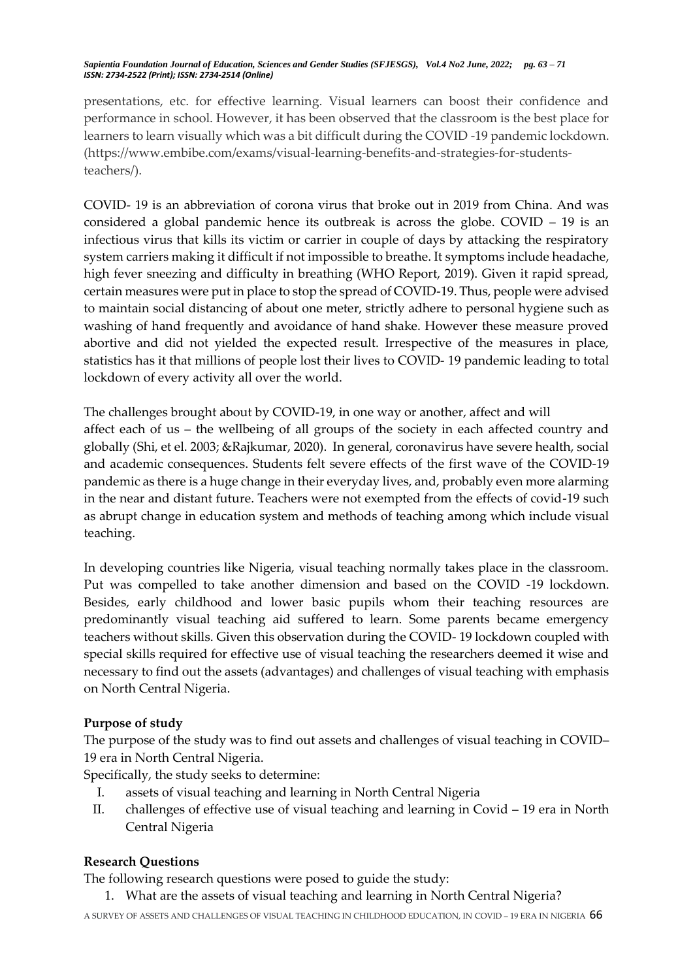presentations, etc. for effective learning. Visual learners can boost their confidence and performance in school. However, it has been observed that the classroom is the best place for learners to learn visually which was a bit difficult during the COVID -19 pandemic lockdown. (https://www.embibe.com/exams/visual-learning-benefits-and-strategies-for-studentsteachers/).

COVID- 19 is an abbreviation of corona virus that broke out in 2019 from China. And was considered a global pandemic hence its outbreak is across the globe. COVID – 19 is an infectious virus that kills its victim or carrier in couple of days by attacking the respiratory system carriers making it difficult if not impossible to breathe. It symptoms include headache, high fever sneezing and difficulty in breathing (WHO Report, 2019). Given it rapid spread, certain measures were put in place to stop the spread of COVID-19. Thus, people were advised to maintain social distancing of about one meter, strictly adhere to personal hygiene such as washing of hand frequently and avoidance of hand shake. However these measure proved abortive and did not yielded the expected result. Irrespective of the measures in place, statistics has it that millions of people lost their lives to COVID- 19 pandemic leading to total lockdown of every activity all over the world.

The challenges brought about by COVID-19, in one way or another, affect and will affect each of us – the wellbeing of all groups of the society in each affected country and globally (Shi, et el. 2003; &Rajkumar, 2020). In general, coronavirus have severe health, social and academic consequences. Students felt severe effects of the first wave of the COVID-19 pandemic as there is a huge change in their everyday lives, and, probably even more alarming in the near and distant future. Teachers were not exempted from the effects of covid-19 such as abrupt change in education system and methods of teaching among which include visual teaching.

In developing countries like Nigeria, visual teaching normally takes place in the classroom. Put was compelled to take another dimension and based on the COVID -19 lockdown. Besides, early childhood and lower basic pupils whom their teaching resources are predominantly visual teaching aid suffered to learn. Some parents became emergency teachers without skills. Given this observation during the COVID- 19 lockdown coupled with special skills required for effective use of visual teaching the researchers deemed it wise and necessary to find out the assets (advantages) and challenges of visual teaching with emphasis on North Central Nigeria.

### **Purpose of study**

The purpose of the study was to find out assets and challenges of visual teaching in COVID– 19 era in North Central Nigeria.

Specifically, the study seeks to determine:

- I. assets of visual teaching and learning in North Central Nigeria
- II. challenges of effective use of visual teaching and learning in Covid 19 era in North Central Nigeria

# **Research Questions**

The following research questions were posed to guide the study:

1. What are the assets of visual teaching and learning in North Central Nigeria?

A SURVEY OF ASSETS AND CHALLENGES OF VISUAL TEACHING IN CHILDHOOD EDUCATION, IN COVID – 19 ERA IN NIGERIA 66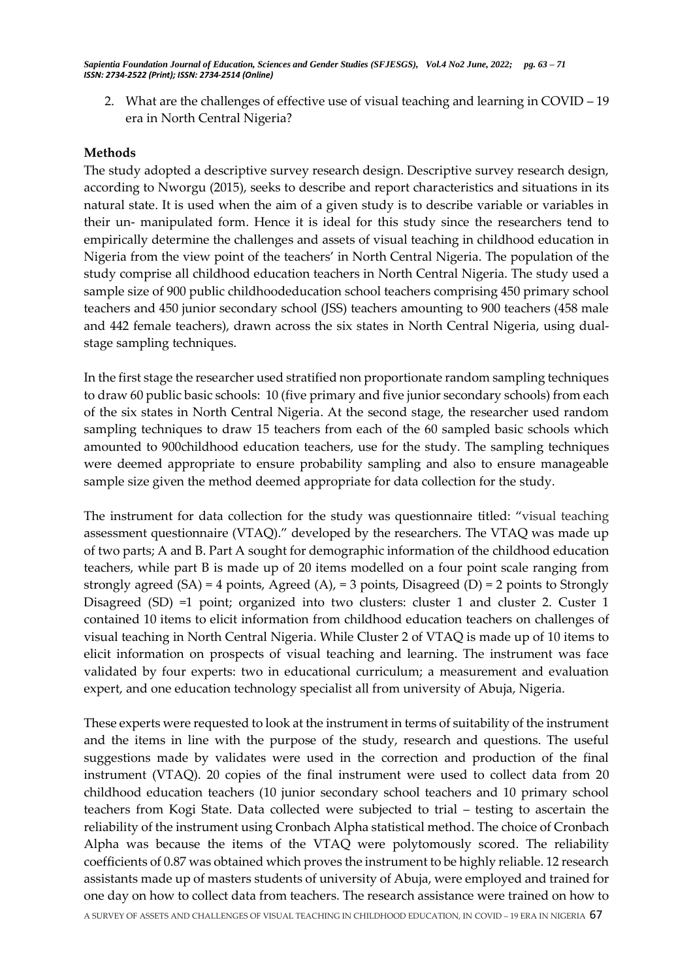2. What are the challenges of effective use of visual teaching and learning in COVID – 19 era in North Central Nigeria?

#### **Methods**

The study adopted a descriptive survey research design. Descriptive survey research design, according to Nworgu (2015), seeks to describe and report characteristics and situations in its natural state. It is used when the aim of a given study is to describe variable or variables in their un- manipulated form. Hence it is ideal for this study since the researchers tend to empirically determine the challenges and assets of visual teaching in childhood education in Nigeria from the view point of the teachers' in North Central Nigeria. The population of the study comprise all childhood education teachers in North Central Nigeria. The study used a sample size of 900 public childhoodeducation school teachers comprising 450 primary school teachers and 450 junior secondary school (JSS) teachers amounting to 900 teachers (458 male and 442 female teachers), drawn across the six states in North Central Nigeria, using dualstage sampling techniques.

In the first stage the researcher used stratified non proportionate random sampling techniques to draw 60 public basic schools: 10 (five primary and five junior secondary schools) from each of the six states in North Central Nigeria. At the second stage, the researcher used random sampling techniques to draw 15 teachers from each of the 60 sampled basic schools which amounted to 900childhood education teachers, use for the study. The sampling techniques were deemed appropriate to ensure probability sampling and also to ensure manageable sample size given the method deemed appropriate for data collection for the study.

The instrument for data collection for the study was questionnaire titled: "visual teaching assessment questionnaire (VTAQ)." developed by the researchers. The VTAQ was made up of two parts; A and B. Part A sought for demographic information of the childhood education teachers, while part B is made up of 20 items modelled on a four point scale ranging from strongly agreed  $(SA) = 4$  points, Agreed  $(A)$ , = 3 points, Disagreed  $(D) = 2$  points to Strongly Disagreed (SD) =1 point; organized into two clusters: cluster 1 and cluster 2. Custer 1 contained 10 items to elicit information from childhood education teachers on challenges of visual teaching in North Central Nigeria. While Cluster 2 of VTAQ is made up of 10 items to elicit information on prospects of visual teaching and learning. The instrument was face validated by four experts: two in educational curriculum; a measurement and evaluation expert, and one education technology specialist all from university of Abuja, Nigeria.

A SURVEY OF ASSETS AND CHALLENGES OF VISUAL TEACHING IN CHILDHOOD EDUCATION, IN COVID – 19 ERA IN NIGERIA 67 These experts were requested to look at the instrument in terms of suitability of the instrument and the items in line with the purpose of the study, research and questions. The useful suggestions made by validates were used in the correction and production of the final instrument (VTAQ). 20 copies of the final instrument were used to collect data from 20 childhood education teachers (10 junior secondary school teachers and 10 primary school teachers from Kogi State. Data collected were subjected to trial – testing to ascertain the reliability of the instrument using Cronbach Alpha statistical method. The choice of Cronbach Alpha was because the items of the VTAQ were polytomously scored. The reliability coefficients of 0.87 was obtained which proves the instrument to be highly reliable. 12 research assistants made up of masters students of university of Abuja, were employed and trained for one day on how to collect data from teachers. The research assistance were trained on how to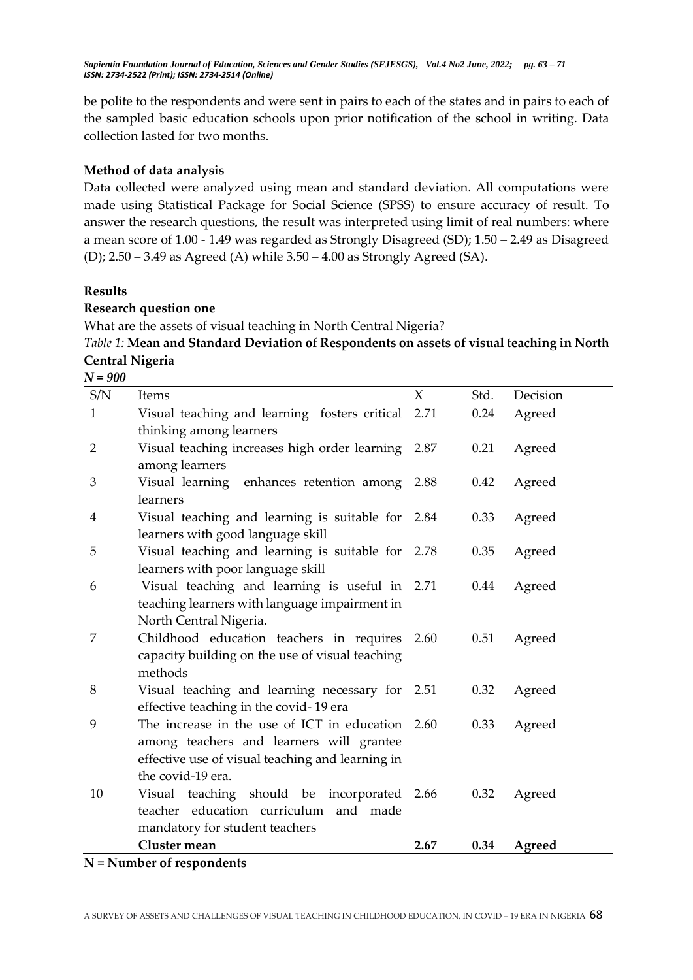be polite to the respondents and were sent in pairs to each of the states and in pairs to each of the sampled basic education schools upon prior notification of the school in writing. Data collection lasted for two months.

## **Method of data analysis**

Data collected were analyzed using mean and standard deviation. All computations were made using Statistical Package for Social Science (SPSS) to ensure accuracy of result. To answer the research questions, the result was interpreted using limit of real numbers: where a mean score of 1.00 - 1.49 was regarded as Strongly Disagreed (SD); 1.50 – 2.49 as Disagreed (D); 2.50 – 3.49 as Agreed (A) while 3.50 – 4.00 as Strongly Agreed (SA).

### **Results**

### **Research question one**

What are the assets of visual teaching in North Central Nigeria?

*Table 1:* **Mean and Standard Deviation of Respondents on assets of visual teaching in North Central Nigeria**

*N = 900*

| $\ensuremath{\mathrm{S/N}}$ | Items                                                                    | $\chi$ | Std. | Decision |
|-----------------------------|--------------------------------------------------------------------------|--------|------|----------|
| $\mathbf{1}$                | Visual teaching and learning fosters critical                            | 2.71   | 0.24 | Agreed   |
| $\overline{2}$              | thinking among learners<br>Visual teaching increases high order learning | 2.87   | 0.21 | Agreed   |
|                             | among learners                                                           |        |      |          |
| 3                           | Visual learning<br>enhances retention among 2.88                         |        | 0.42 | Agreed   |
|                             | learners                                                                 |        |      |          |
| 4                           | Visual teaching and learning is suitable for                             | 2.84   | 0.33 | Agreed   |
|                             | learners with good language skill                                        |        |      |          |
| 5                           | Visual teaching and learning is suitable for                             | 2.78   | 0.35 | Agreed   |
|                             | learners with poor language skill                                        |        |      |          |
| 6                           | Visual teaching and learning is useful in                                | 2.71   | 0.44 | Agreed   |
|                             | teaching learners with language impairment in                            |        |      |          |
|                             | North Central Nigeria.                                                   |        |      |          |
| 7                           | Childhood education teachers in requires                                 | 2.60   | 0.51 | Agreed   |
|                             | capacity building on the use of visual teaching                          |        |      |          |
|                             | methods                                                                  |        |      |          |
| 8                           | Visual teaching and learning necessary for 2.51                          |        | 0.32 | Agreed   |
|                             | effective teaching in the covid-19 era                                   |        |      |          |
| 9                           | The increase in the use of ICT in education                              | 2.60   | 0.33 | Agreed   |
|                             | among teachers and learners will grantee                                 |        |      |          |
|                             | effective use of visual teaching and learning in                         |        |      |          |
|                             | the covid-19 era.                                                        |        |      |          |
| 10                          | Visual teaching should be incorporated 2.66                              |        | 0.32 | Agreed   |
|                             | teacher education curriculum and made                                    |        |      |          |
|                             | mandatory for student teachers                                           |        |      |          |
|                             | Cluster mean                                                             | 2.67   | 0.34 | Agreed   |
|                             | N - Number of recognation                                                |        |      |          |

#### **N = Number of respondents**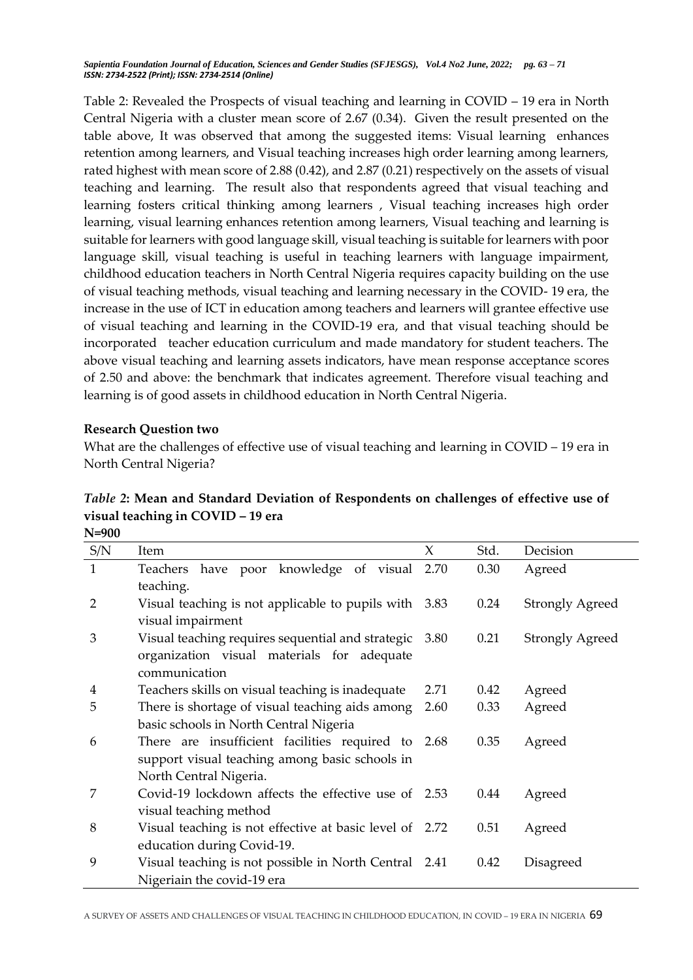Table 2: Revealed the Prospects of visual teaching and learning in COVID – 19 era in North Central Nigeria with a cluster mean score of 2.67 (0.34). Given the result presented on the table above, It was observed that among the suggested items: Visual learning enhances retention among learners, and Visual teaching increases high order learning among learners, rated highest with mean score of 2.88 (0.42), and 2.87 (0.21) respectively on the assets of visual teaching and learning. The result also that respondents agreed that visual teaching and learning fosters critical thinking among learners , Visual teaching increases high order learning, visual learning enhances retention among learners, Visual teaching and learning is suitable for learners with good language skill, visual teaching is suitable for learners with poor language skill, visual teaching is useful in teaching learners with language impairment, childhood education teachers in North Central Nigeria requires capacity building on the use of visual teaching methods, visual teaching and learning necessary in the COVID- 19 era, the increase in the use of ICT in education among teachers and learners will grantee effective use of visual teaching and learning in the COVID-19 era, and that visual teaching should be incorporated teacher education curriculum and made mandatory for student teachers. The above visual teaching and learning assets indicators, have mean response acceptance scores of 2.50 and above: the benchmark that indicates agreement. Therefore visual teaching and learning is of good assets in childhood education in North Central Nigeria.

### **Research Question two**

What are the challenges of effective use of visual teaching and learning in COVID – 19 era in North Central Nigeria?

| Table 2: Mean and Standard Deviation of Respondents on challenges of effective use of |
|---------------------------------------------------------------------------------------|
| visual teaching in COVID - 19 era                                                     |
| $N = 000$                                                                             |

| 11-200         |                                                         |      |      |                        |
|----------------|---------------------------------------------------------|------|------|------------------------|
| S/N            | Item                                                    | X    | Std. | Decision               |
| $\mathbf{1}$   | Teachers have poor knowledge of visual 2.70             |      | 0.30 | Agreed                 |
|                | teaching.                                               |      |      |                        |
| $\overline{2}$ | Visual teaching is not applicable to pupils with 3.83   |      | 0.24 | <b>Strongly Agreed</b> |
|                | visual impairment                                       |      |      |                        |
| 3              | Visual teaching requires sequential and strategic 3.80  |      | 0.21 | <b>Strongly Agreed</b> |
|                | organization visual materials for adequate              |      |      |                        |
|                | communication                                           |      |      |                        |
| 4              | Teachers skills on visual teaching is inadequate        | 2.71 | 0.42 | Agreed                 |
| 5              | There is shortage of visual teaching aids among         | 2.60 | 0.33 | Agreed                 |
|                | basic schools in North Central Nigeria                  |      |      |                        |
| 6              | There are insufficient facilities required to 2.68      |      | 0.35 | Agreed                 |
|                | support visual teaching among basic schools in          |      |      |                        |
|                | North Central Nigeria.                                  |      |      |                        |
| 7              | Covid-19 lockdown affects the effective use of 2.53     |      | 0.44 | Agreed                 |
|                | visual teaching method                                  |      |      |                        |
| 8              | Visual teaching is not effective at basic level of 2.72 |      | 0.51 | Agreed                 |
|                | education during Covid-19.                              |      |      |                        |
| 9              | Visual teaching is not possible in North Central 2.41   |      | 0.42 | Disagreed              |
|                | Nigeriain the covid-19 era                              |      |      |                        |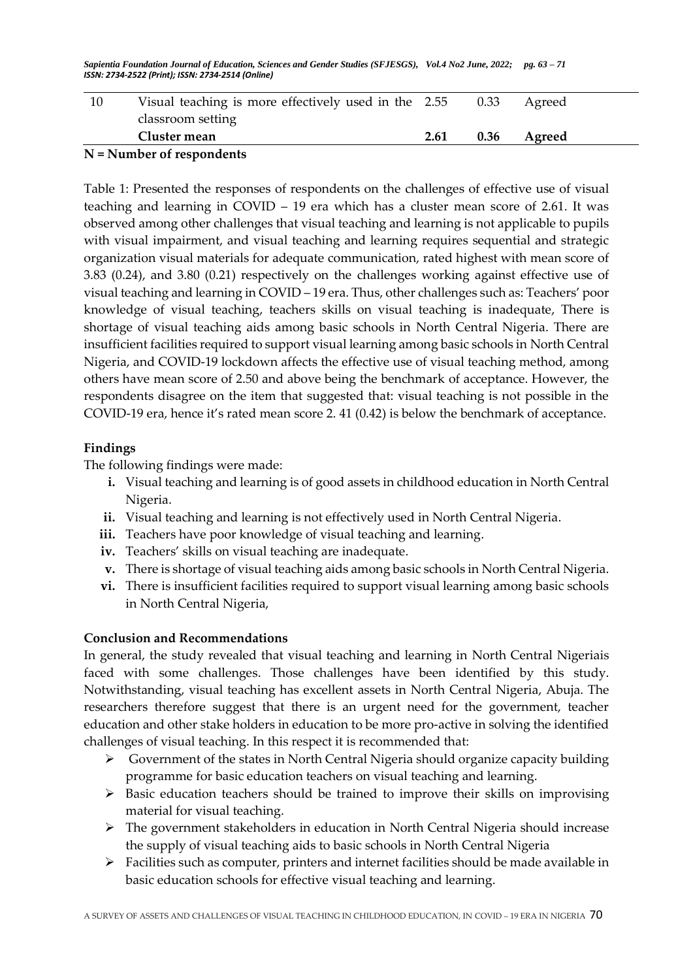| 10                          | Visual teaching is more effectively used in the 2.55 |      | 0.33 | Agreed |  |
|-----------------------------|------------------------------------------------------|------|------|--------|--|
|                             | classroom setting                                    |      |      |        |  |
|                             | Cluster mean                                         | 2.61 | 0.36 | Agreed |  |
| $N =$ Number of respondents |                                                      |      |      |        |  |

# Table 1: Presented the responses of respondents on the challenges of effective use of visual teaching and learning in COVID – 19 era which has a cluster mean score of 2.61. It was observed among other challenges that visual teaching and learning is not applicable to pupils with visual impairment, and visual teaching and learning requires sequential and strategic organization visual materials for adequate communication, rated highest with mean score of 3.83 (0.24), and 3.80 (0.21) respectively on the challenges working against effective use of visual teaching and learning in COVID – 19 era. Thus, other challenges such as: Teachers' poor knowledge of visual teaching, teachers skills on visual teaching is inadequate, There is shortage of visual teaching aids among basic schools in North Central Nigeria. There are insufficient facilities required to support visual learning among basic schools in North Central Nigeria, and COVID-19 lockdown affects the effective use of visual teaching method, among others have mean score of 2.50 and above being the benchmark of acceptance. However, the respondents disagree on the item that suggested that: visual teaching is not possible in the COVID-19 era, hence it's rated mean score 2. 41 (0.42) is below the benchmark of acceptance.

# **Findings**

The following findings were made:

- **i.** Visual teaching and learning is of good assets in childhood education in North Central Nigeria.
- **ii.** Visual teaching and learning is not effectively used in North Central Nigeria.
- iii. Teachers have poor knowledge of visual teaching and learning.
- **iv.** Teachers' skills on visual teaching are inadequate.
- **v.** There is shortage of visual teaching aids among basic schools in North Central Nigeria.
- vi. There is insufficient facilities required to support visual learning among basic schools in North Central Nigeria,

### **Conclusion and Recommendations**

In general, the study revealed that visual teaching and learning in North Central Nigeriais faced with some challenges. Those challenges have been identified by this study. Notwithstanding, visual teaching has excellent assets in North Central Nigeria, Abuja. The researchers therefore suggest that there is an urgent need for the government, teacher education and other stake holders in education to be more pro-active in solving the identified challenges of visual teaching. In this respect it is recommended that:

- $\triangleright$  Government of the states in North Central Nigeria should organize capacity building programme for basic education teachers on visual teaching and learning.
- $\triangleright$  Basic education teachers should be trained to improve their skills on improvising material for visual teaching.
- The government stakeholders in education in North Central Nigeria should increase the supply of visual teaching aids to basic schools in North Central Nigeria
- Facilities such as computer, printers and internet facilities should be made available in basic education schools for effective visual teaching and learning.